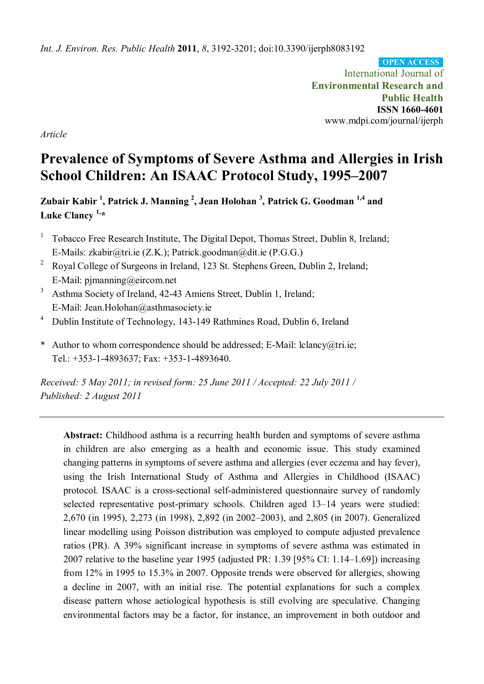*Int. J. Environ. Res. Public Health* **2011**, *8*, 3192-3201; doi:10.3390/ijerph8083192

International Journal of **Environmental Research and Public Health ISSN 1660-4601** www.mdpi.com/journal/ijerph **OPEN ACCESS**

*Article*

# **Prevalence of Symptoms of Severe Asthma and Allergies in Irish School Children: An ISAAC Protocol Study, 1995–2007**

**Zubair Kabir <sup>1</sup> , Patrick J. Manning <sup>2</sup> , Jean Holohan <sup>3</sup> , Patrick G. Goodman 1,4 and Luke Clancy 1,\***

- $1$  Tobacco Free Research Institute, The Digital Depot, Thomas Street, Dublin 8, Ireland; E-Mails: zkabir@tri.ie (Z.K.); Patrick.goodman@dit.ie (P.G.G.)
- <sup>2</sup> Royal College of Surgeons in Ireland, 123 St. Stephens Green, Dublin 2, Ireland; E-Mail: pjmanning@eircom.net
- <sup>3</sup> Asthma Society of Ireland, 42-43 Amiens Street, Dublin 1, Ireland; E-Mail: Jean.Holohan@asthmasociety.ie
- <sup>4</sup> Dublin Institute of Technology, 143-149 Rathmines Road, Dublin 6, Ireland
- \* Author to whom correspondence should be addressed; E-Mail: lclancy@tri.ie; Tel.: +353-1-4893637; Fax: +353-1-4893640.

*Received: 5 May 2011; in revised form: 25 June 2011 / Accepted: 22 July 2011 / Published: 2 August 2011*

**Abstract:** Childhood asthma is a recurring health burden and symptoms of severe asthma in children are also emerging as a health and economic issue. This study examined changing patterns in symptoms of severe asthma and allergies (ever eczema and hay fever), using the Irish International Study of Asthma and Allergies in Childhood (ISAAC) protocol. ISAAC is a cross-sectional self-administered questionnaire survey of randomly selected representative post-primary schools. Children aged 13–14 years were studied: 2,670 (in 1995), 2,273 (in 1998), 2,892 (in 2002–2003), and 2,805 (in 2007). Generalized linear modelling using Poisson distribution was employed to compute adjusted prevalence ratios (PR). A 39% significant increase in symptoms of severe asthma was estimated in 2007 relative to the baseline year 1995 (adjusted PR: 1.39 [95% CI: 1.14–1.69]) increasing from 12% in 1995 to 15.3% in 2007. Opposite trends were observed for allergies, showing a decline in 2007, with an initial rise. The potential explanations for such a complex disease pattern whose aetiological hypothesis is still evolving are speculative. Changing environmental factors may be a factor, for instance, an improvement in both outdoor and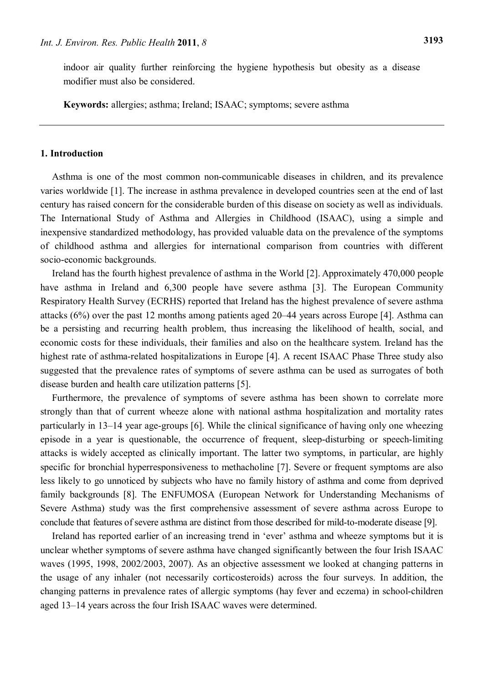indoor air quality further reinforcing the hygiene hypothesis but obesity as a disease modifier must also be considered.

**Keywords:** allergies; asthma; Ireland; ISAAC; symptoms; severe asthma

## **1. Introduction**

Asthma is one of the most common non-communicable diseases in children, and its prevalence varies worldwide [1]. The increase in asthma prevalence in developed countries seen at the end of last century has raised concern for the considerable burden of this disease on society as well as individuals. The International Study of Asthma and Allergies in Childhood (ISAAC), using a simple and inexpensive standardized methodology, has provided valuable data on the prevalence of the symptoms of childhood asthma and allergies for international comparison from countries with different socio-economic backgrounds.

Ireland has the fourth highest prevalence of asthma in the World [2]. Approximately 470,000 people have asthma in Ireland and 6,300 people have severe asthma [3]. The European Community Respiratory Health Survey (ECRHS) reported that Ireland has the highest prevalence of severe asthma attacks (6%) over the past 12 months among patients aged 20–44 years across Europe [4]. Asthma can be a persisting and recurring health problem, thus increasing the likelihood of health, social, and economic costs for these individuals, their families and also on the healthcare system. Ireland has the highest rate of asthma-related hospitalizations in Europe [4]. A recent ISAAC Phase Three study also suggested that the prevalence rates of symptoms of severe asthma can be used as surrogates of both disease burden and health care utilization patterns [5].

Furthermore, the prevalence of symptoms of severe asthma has been shown to correlate more strongly than that of current wheeze alone with national asthma hospitalization and mortality rates particularly in 13–14 year age-groups [6]. While the clinical significance of having only one wheezing episode in a year is questionable, the occurrence of frequent, sleep-disturbing or speech-limiting attacks is widely accepted as clinically important. The latter two symptoms, in particular, are highly specific for bronchial hyperresponsiveness to methacholine [7]. Severe or frequent symptoms are also less likely to go unnoticed by subjects who have no family history of asthma and come from deprived family backgrounds [8]. The ENFUMOSA (European Network for Understanding Mechanisms of Severe Asthma) study was the first comprehensive assessment of severe asthma across Europe to conclude that features of severe asthma are distinct from those described for mild-to-moderate disease [9].

Ireland has reported earlier of an increasing trend in 'ever' asthma and wheeze symptoms but it is unclear whether symptoms of severe asthma have changed significantly between the four Irish ISAAC waves (1995, 1998, 2002/2003, 2007). As an objective assessment we looked at changing patterns in the usage of any inhaler (not necessarily corticosteroids) across the four surveys. In addition, the changing patterns in prevalence rates of allergic symptoms (hay fever and eczema) in school-children aged 13–14 years across the four Irish ISAAC waves were determined.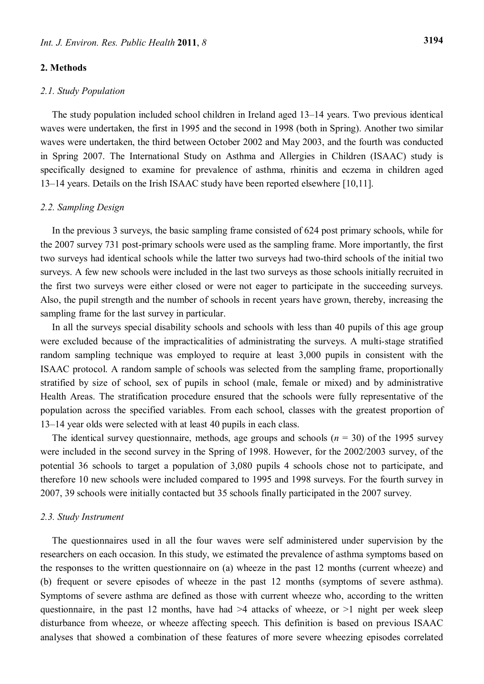# **2. Methods**

#### *2.1. Study Population*

The study population included school children in Ireland aged 13–14 years. Two previous identical waves were undertaken, the first in 1995 and the second in 1998 (both in Spring). Another two similar waves were undertaken, the third between October 2002 and May 2003, and the fourth was conducted in Spring 2007. The International Study on Asthma and Allergies in Children (ISAAC) study is specifically designed to examine for prevalence of asthma, rhinitis and eczema in children aged 13–14 years. Details on the Irish ISAAC study have been reported elsewhere [10,11].

#### *2.2. Sampling Design*

In the previous 3 surveys, the basic sampling frame consisted of 624 post primary schools, while for the 2007 survey 731 post-primary schools were used as the sampling frame. More importantly, the first two surveys had identical schools while the latter two surveys had two-third schools of the initial two surveys. A few new schools were included in the last two surveys as those schools initially recruited in the first two surveys were either closed or were not eager to participate in the succeeding surveys. Also, the pupil strength and the number of schools in recent years have grown, thereby, increasing the sampling frame for the last survey in particular.

In all the surveys special disability schools and schools with less than 40 pupils of this age group were excluded because of the impracticalities of administrating the surveys. A multi-stage stratified random sampling technique was employed to require at least 3,000 pupils in consistent with the ISAAC protocol. A random sample of schools was selected from the sampling frame, proportionally stratified by size of school, sex of pupils in school (male, female or mixed) and by administrative Health Areas. The stratification procedure ensured that the schools were fully representative of the population across the specified variables. From each school, classes with the greatest proportion of 13–14 year olds were selected with at least 40 pupils in each class.

The identical survey questionnaire, methods, age groups and schools  $(n = 30)$  of the 1995 survey were included in the second survey in the Spring of 1998. However, for the 2002/2003 survey, of the potential 36 schools to target a population of 3,080 pupils 4 schools chose not to participate, and therefore 10 new schools were included compared to 1995 and 1998 surveys. For the fourth survey in 2007, 39 schools were initially contacted but 35 schools finally participated in the 2007 survey.

#### *2.3. Study Instrument*

The questionnaires used in all the four waves were self administered under supervision by the researchers on each occasion. In this study, we estimated the prevalence of asthma symptoms based on the responses to the written questionnaire on (a) wheeze in the past 12 months (current wheeze) and (b) frequent or severe episodes of wheeze in the past 12 months (symptoms of severe asthma). Symptoms of severe asthma are defined as those with current wheeze who, according to the written questionnaire, in the past 12 months, have had  $>4$  attacks of wheeze, or  $>1$  night per week sleep disturbance from wheeze, or wheeze affecting speech. This definition is based on previous ISAAC analyses that showed a combination of these features of more severe wheezing episodes correlated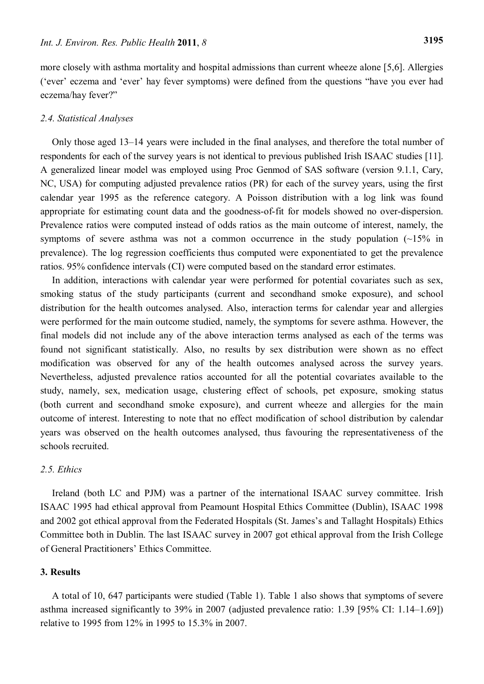more closely with asthma mortality and hospital admissions than current wheeze alone [5,6]. Allergies ('ever' eczema and 'ever' hay fever symptoms) were defined from the questions "have you ever had eczema/hay fever?"

## *2.4. Statistical Analyses*

Only those aged 13–14 years were included in the final analyses, and therefore the total number of respondents for each of the survey years is not identical to previous published Irish ISAAC studies [11]. A generalized linear model was employed using Proc Genmod of SAS software (version 9.1.1, Cary, NC, USA) for computing adjusted prevalence ratios (PR) for each of the survey years, using the first calendar year 1995 as the reference category. A Poisson distribution with a log link was found appropriate for estimating count data and the goodness-of-fit for models showed no over-dispersion. Prevalence ratios were computed instead of odds ratios as the main outcome of interest, namely, the symptoms of severe asthma was not a common occurrence in the study population  $(\sim 15\%$  in prevalence). The log regression coefficients thus computed were exponentiated to get the prevalence ratios. 95% confidence intervals (CI) were computed based on the standard error estimates.

In addition, interactions with calendar year were performed for potential covariates such as sex, smoking status of the study participants (current and secondhand smoke exposure), and school distribution for the health outcomes analysed. Also, interaction terms for calendar year and allergies were performed for the main outcome studied, namely, the symptoms for severe asthma. However, the final models did not include any of the above interaction terms analysed as each of the terms was found not significant statistically. Also, no results by sex distribution were shown as no effect modification was observed for any of the health outcomes analysed across the survey years. Nevertheless, adjusted prevalence ratios accounted for all the potential covariates available to the study, namely, sex, medication usage, clustering effect of schools, pet exposure, smoking status (both current and secondhand smoke exposure), and current wheeze and allergies for the main outcome of interest. Interesting to note that no effect modification of school distribution by calendar years was observed on the health outcomes analysed, thus favouring the representativeness of the schools recruited.

# *2.5. Ethics*

Ireland (both LC and PJM) was a partner of the international ISAAC survey committee. Irish ISAAC 1995 had ethical approval from Peamount Hospital Ethics Committee (Dublin), ISAAC 1998 and 2002 got ethical approval from the Federated Hospitals (St. James's and Tallaght Hospitals) Ethics Committee both in Dublin. The last ISAAC survey in 2007 got ethical approval from the Irish College of General Practitioners' Ethics Committee.

# **3. Results**

A total of 10, 647 participants were studied (Table 1). Table 1 also shows that symptoms of severe asthma increased significantly to 39% in 2007 (adjusted prevalence ratio: 1.39 [95% CI: 1.14–1.69]) relative to 1995 from 12% in 1995 to 15.3% in 2007.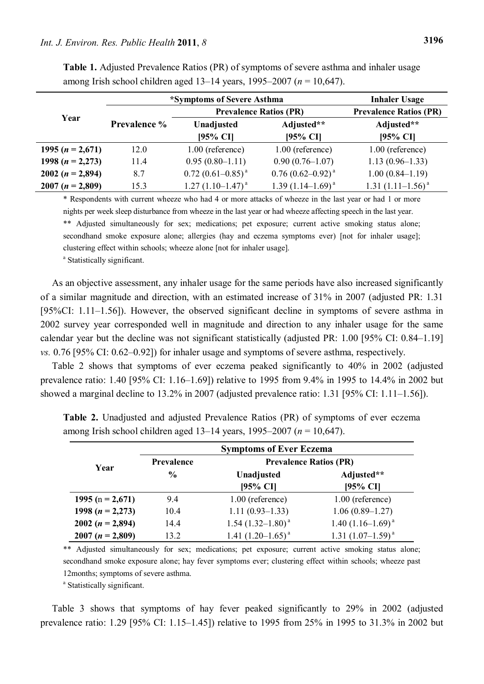|                    | *Symptoms of Severe Asthma | <b>Inhaler Usage</b>          |                        |                        |
|--------------------|----------------------------|-------------------------------|------------------------|------------------------|
| Year               |                            | <b>Prevalence Ratios (PR)</b> |                        |                        |
|                    | <b>Prevalence %</b>        | Unadjusted<br>[95% CI]        | Adjusted**<br>[95% CI] | Adjusted**<br>[95% CI] |
| 1995 $(n = 2,671)$ | 12.0                       | 1.00 (reference)              | $1.00$ (reference)     | 1.00 (reference)       |
| 1998 $(n = 2,273)$ | 11.4                       | $0.95(0.80-1.11)$             | $0.90(0.76 - 1.07)$    | $1.13(0.96-1.33)$      |
| 2002 $(n = 2,894)$ | 8.7                        | $0.72(0.61 - 0.85)^{a}$       | $0.76(0.62-0.92)^{a}$  | $1.00(0.84 - 1.19)$    |
| $2007 (n = 2,809)$ | 15.3                       | $1.27(1.10-1.47)^{a}$         | $1.39(1.14-1.69)^{a}$  | 1.31 $(1.11-1.56)^{a}$ |

**Table 1.** Adjusted Prevalence Ratios (PR) of symptoms of severe asthma and inhaler usage among Irish school children aged 13–14 years, 1995–2007 (*n* = 10,647).

\* Respondents with current wheeze who had 4 or more attacks of wheeze in the last year or had 1 or more nights per week sleep disturbance from wheeze in the last year or had wheeze affecting speech in the last year. \*\* Adjusted simultaneously for sex; medications; pet exposure; current active smoking status alone; secondhand smoke exposure alone; allergies (hay and eczema symptoms ever) [not for inhaler usage]; clustering effect within schools; wheeze alone [not for inhaler usage].

<sup>a</sup> Statistically significant.

As an objective assessment, any inhaler usage for the same periods have also increased significantly of a similar magnitude and direction, with an estimated increase of 31% in 2007 (adjusted PR: 1.31 [95%CI: 1.11–1.56]). However, the observed significant decline in symptoms of severe asthma in 2002 survey year corresponded well in magnitude and direction to any inhaler usage for the same calendar year but the decline was not significant statistically (adjusted PR: 1.00 [95% CI: 0.84–1.19] *vs.* 0.76 [95% CI: 0.62–0.92]) for inhaler usage and symptoms of severe asthma, respectively.

Table 2 shows that symptoms of ever eczema peaked significantly to 40% in 2002 (adjusted prevalence ratio: 1.40 [95% CI: 1.16–1.69]) relative to 1995 from 9.4% in 1995 to 14.4% in 2002 but showed a marginal decline to 13.2% in 2007 (adjusted prevalence ratio: 1.31 [95% CI: 1.11–1.56]).

|                      | <b>Symptoms of Ever Eczema</b> |                               |                        |  |
|----------------------|--------------------------------|-------------------------------|------------------------|--|
| Year                 | <b>Prevalence</b>              | <b>Prevalence Ratios (PR)</b> |                        |  |
|                      | $\frac{6}{9}$                  | Unadjusted<br>$[95%$ CI]      | Adjusted**<br>[95% CI] |  |
|                      |                                |                               |                        |  |
| 1995 (n = 2,671)     | 9.4                            | 1.00 (reference)              | 1.00 (reference)       |  |
| 1998 ( $n = 2,273$ ) | 10.4                           | $1.11(0.93 - 1.33)$           | $1.06(0.89-1.27)$      |  |
| 2002 $(n = 2,894)$   | 14.4                           | $1.54$ $(1.32-1.80)^{a}$      | 1.40 $(1.16-1.69)^{a}$ |  |
| $2007 (n = 2,809)$   | 13.2                           | 1.41 $(1.20-1.65)^{a}$        | 1.31 $(1.07-1.59)^{a}$ |  |

**Table 2.** Unadjusted and adjusted Prevalence Ratios (PR) of symptoms of ever eczema among Irish school children aged 13–14 years, 1995–2007 (*n* = 10,647).

\*\* Adjusted simultaneously for sex; medications; pet exposure; current active smoking status alone; secondhand smoke exposure alone; hay fever symptoms ever; clustering effect within schools; wheeze past 12months; symptoms of severe asthma.

<sup>a</sup> Statistically significant.

Table 3 shows that symptoms of hay fever peaked significantly to 29% in 2002 (adjusted prevalence ratio: 1.29 [95% CI: 1.15–1.45]) relative to 1995 from 25% in 1995 to 31.3% in 2002 but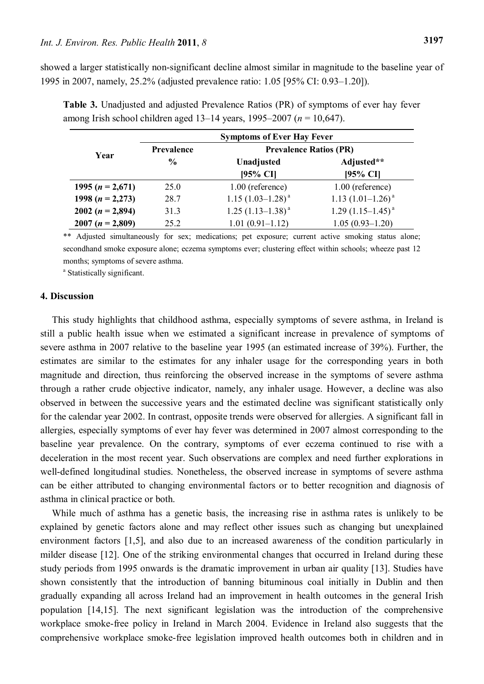showed a larger statistically non-significant decline almost similar in magnitude to the baseline year of 1995 in 2007, namely, 25.2% (adjusted prevalence ratio: 1.05 [95% CI: 0.93–1.20]).

|                      | <b>Symptoms of Ever Hay Fever</b> |                               |                        |  |
|----------------------|-----------------------------------|-------------------------------|------------------------|--|
| Year                 | Prevalence                        | <b>Prevalence Ratios (PR)</b> |                        |  |
|                      | $\frac{6}{9}$                     | Unadjusted                    | Adjusted**             |  |
|                      |                                   | $[95%$ CI]                    | $[95%$ CI]             |  |
| 1995 $(n = 2,671)$   | 25.0                              | 1.00 (reference)              | 1.00 (reference)       |  |
| 1998 ( $n = 2,273$ ) | 28.7                              | $1.15(1.03-1.28)^{a}$         | 1.13 $(1.01-1.26)^a$   |  |
| 2002 $(n = 2,894)$   | 31.3                              | $1.25(1.13-1.38)^{a}$         | 1.29 $(1.15-1.45)^{a}$ |  |
| $2007 (n = 2,809)$   | 25.2                              | $1.01(0.91-1.12)$             | $1.05(0.93 - 1.20)$    |  |

**Table 3.** Unadjusted and adjusted Prevalence Ratios (PR) of symptoms of ever hay fever among Irish school children aged 13–14 years, 1995–2007 (*n* = 10,647).

\*\* Adjusted simultaneously for sex; medications; pet exposure; current active smoking status alone; secondhand smoke exposure alone; eczema symptoms ever; clustering effect within schools; wheeze past 12 months; symptoms of severe asthma.

<sup>a</sup> Statistically significant.

#### **4. Discussion**

This study highlights that childhood asthma, especially symptoms of severe asthma, in Ireland is still a public health issue when we estimated a significant increase in prevalence of symptoms of severe asthma in 2007 relative to the baseline year 1995 (an estimated increase of 39%). Further, the estimates are similar to the estimates for any inhaler usage for the corresponding years in both magnitude and direction, thus reinforcing the observed increase in the symptoms of severe asthma through a rather crude objective indicator, namely, any inhaler usage. However, a decline was also observed in between the successive years and the estimated decline was significant statistically only for the calendar year 2002. In contrast, opposite trends were observed for allergies. A significant fall in allergies, especially symptoms of ever hay fever was determined in 2007 almost corresponding to the baseline year prevalence. On the contrary, symptoms of ever eczema continued to rise with a deceleration in the most recent year. Such observations are complex and need further explorations in well-defined longitudinal studies. Nonetheless, the observed increase in symptoms of severe asthma can be either attributed to changing environmental factors or to better recognition and diagnosis of asthma in clinical practice or both.

While much of asthma has a genetic basis, the increasing rise in asthma rates is unlikely to be explained by genetic factors alone and may reflect other issues such as changing but unexplained environment factors [1,5], and also due to an increased awareness of the condition particularly in milder disease [12]. One of the striking environmental changes that occurred in Ireland during these study periods from 1995 onwards is the dramatic improvement in urban air quality [13]. Studies have shown consistently that the introduction of banning bituminous coal initially in Dublin and then gradually expanding all across Ireland had an improvement in health outcomes in the general Irish population [14,15]. The next significant legislation was the introduction of the comprehensive workplace smoke-free policy in Ireland in March 2004. Evidence in Ireland also suggests that the comprehensive workplace smoke-free legislation improved health outcomes both in children and in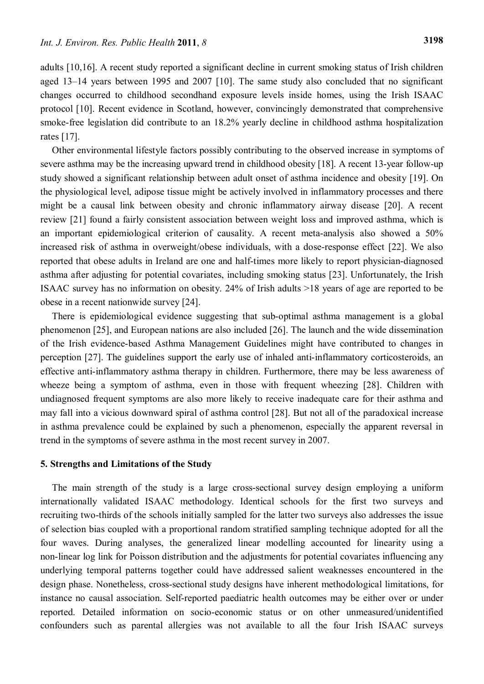adults [10,16]. A recent study reported a significant decline in current smoking status of Irish children aged 13–14 years between 1995 and 2007 [10]. The same study also concluded that no significant changes occurred to childhood secondhand exposure levels inside homes, using the Irish ISAAC protocol [10]. Recent evidence in Scotland, however, convincingly demonstrated that comprehensive smoke-free legislation did contribute to an 18.2% yearly decline in childhood asthma hospitalization rates [17].

Other environmental lifestyle factors possibly contributing to the observed increase in symptoms of severe asthma may be the increasing upward trend in childhood obesity [18]. A recent 13-year follow-up study showed a significant relationship between adult onset of asthma incidence and obesity [19]. On the physiological level, adipose tissue might be actively involved in inflammatory processes and there might be a causal link between obesity and chronic inflammatory airway disease [20]. A recent review [21] found a fairly consistent association between weight loss and improved asthma, which is an important epidemiological criterion of causality. A recent meta-analysis also showed a 50% increased risk of asthma in overweight/obese individuals, with a dose-response effect [22]. We also reported that obese adults in Ireland are one and half-times more likely to report physician-diagnosed asthma after adjusting for potential covariates, including smoking status [23]. Unfortunately, the Irish ISAAC survey has no information on obesity. 24% of Irish adults >18 years of age are reported to be obese in a recent nationwide survey [24].

There is epidemiological evidence suggesting that sub-optimal asthma management is a global phenomenon [25], and European nations are also included [26]. The launch and the wide dissemination of the Irish evidence-based Asthma Management Guidelines might have contributed to changes in perception [27]. The guidelines support the early use of inhaled anti-inflammatory corticosteroids, an effective anti-inflammatory asthma therapy in children. Furthermore, there may be less awareness of wheeze being a symptom of asthma, even in those with frequent wheezing [28]. Children with undiagnosed frequent symptoms are also more likely to receive inadequate care for their asthma and may fall into a vicious downward spiral of asthma control [28]. But not all of the paradoxical increase in asthma prevalence could be explained by such a phenomenon, especially the apparent reversal in trend in the symptoms of severe asthma in the most recent survey in 2007.

## **5. Strengths and Limitations of the Study**

The main strength of the study is a large cross-sectional survey design employing a uniform internationally validated ISAAC methodology. Identical schools for the first two surveys and recruiting two-thirds of the schools initially sampled for the latter two surveys also addresses the issue of selection bias coupled with a proportional random stratified sampling technique adopted for all the four waves. During analyses, the generalized linear modelling accounted for linearity using a non-linear log link for Poisson distribution and the adjustments for potential covariates influencing any underlying temporal patterns together could have addressed salient weaknesses encountered in the design phase. Nonetheless, cross-sectional study designs have inherent methodological limitations, for instance no causal association. Self-reported paediatric health outcomes may be either over or under reported. Detailed information on socio-economic status or on other unmeasured/unidentified confounders such as parental allergies was not available to all the four Irish ISAAC surveys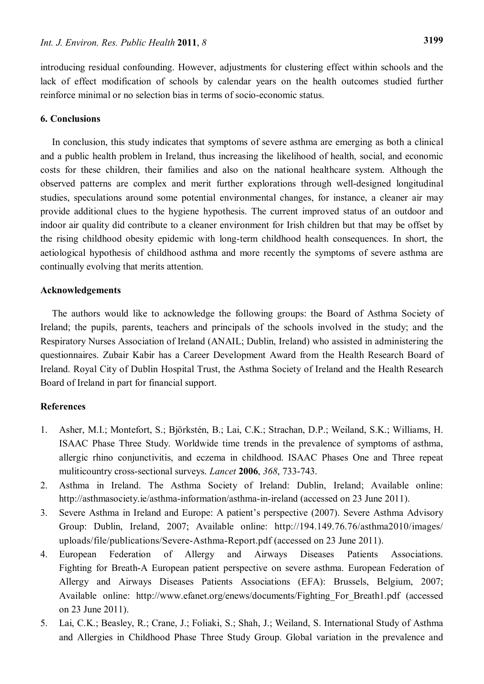introducing residual confounding. However, adjustments for clustering effect within schools and the lack of effect modification of schools by calendar years on the health outcomes studied further reinforce minimal or no selection bias in terms of socio-economic status.

# **6. Conclusions**

In conclusion, this study indicates that symptoms of severe asthma are emerging as both a clinical and a public health problem in Ireland, thus increasing the likelihood of health, social, and economic costs for these children, their families and also on the national healthcare system. Although the observed patterns are complex and merit further explorations through well-designed longitudinal studies, speculations around some potential environmental changes, for instance, a cleaner air may provide additional clues to the hygiene hypothesis. The current improved status of an outdoor and indoor air quality did contribute to a cleaner environment for Irish children but that may be offset by the rising childhood obesity epidemic with long-term childhood health consequences. In short, the aetiological hypothesis of childhood asthma and more recently the symptoms of severe asthma are continually evolving that merits attention.

## **Acknowledgements**

The authors would like to acknowledge the following groups: the Board of Asthma Society of Ireland; the pupils, parents, teachers and principals of the schools involved in the study; and the Respiratory Nurses Association of Ireland (ANAIL; Dublin, Ireland) who assisted in administering the questionnaires. Zubair Kabir has a Career Development Award from the Health Research Board of Ireland. Royal City of Dublin Hospital Trust, the Asthma Society of Ireland and the Health Research Board of Ireland in part for financial support.

## **References**

- 1. Asher, M.I.; Montefort, S.; [Björkstén, B.](http://www.ncbi.nlm.nih.gov.ezp-prod1.hul.harvard.edu/pubmed?term=%22Bj%C3%B6rkst%C3%A9n%20B%22%5BAuthor%5D); Lai, C.K.; Strachan, D.P.; Weiland, S.K.; Williams, H. ISAAC Phase Three Study. Worldwide time trends in the prevalence of symptoms of asthma, allergic rhino conjunctivitis, and eczema in childhood. ISAAC Phases One and Three repeat muliticountry cross-sectional surveys. *Lancet* **2006**, *368*, 733-743.
- 2. Asthma in Ireland. The Asthma Society of Ireland: Dublin, Ireland; Available online: http://asthmasociety.ie/asthma-information/asthma-in-ireland (accessed on 23 June 2011).
- 3. Severe Asthma in Ireland and Europe: A patient's perspective (2007). Severe Asthma Advisory Group: Dublin, Ireland, 2007; Available online: http://194.149.76.76/asthma2010/images/ uploads/file/publications/Severe-Asthma-Report.pdf (accessed on 23 June 2011).
- 4. European Federation of Allergy and Airways Diseases Patients Associations. Fighting for Breath-A European patient perspective on severe asthma. European Federation of Allergy and Airways Diseases Patients Associations (EFA): Brussels, Belgium, 2007; Available online: http://www.efanet.org/enews/documents/Fighting\_For\_Breath1.pdf (accessed on 23 June 2011).
- 5. Lai, C.K.; Beasley, R.; Crane, J.; Foliaki, S.; Shah, J.; Weiland, S. [International Study of Asthma](http://www.ncbi.nlm.nih.gov.ezp-prod1.hul.harvard.edu/sites/entrez?Db=pubmed&Cmd=Search&Term=%22International%20Study%20of%20Asthma%20and%20Allergies%20in%20Childhood%20Phase%20Three%20Study%20Group%22%5BCorporate%20Author%5D&itool=EntrezSystem2.PEntrez.Pubmed.Pubmed_ResultsPanel.Pubmed_DiscoveryPanel.Pubmed_RVAbstractPlus)  [and Allergies in Childhood Phase Three Study Group.](http://www.ncbi.nlm.nih.gov.ezp-prod1.hul.harvard.edu/sites/entrez?Db=pubmed&Cmd=Search&Term=%22International%20Study%20of%20Asthma%20and%20Allergies%20in%20Childhood%20Phase%20Three%20Study%20Group%22%5BCorporate%20Author%5D&itool=EntrezSystem2.PEntrez.Pubmed.Pubmed_ResultsPanel.Pubmed_DiscoveryPanel.Pubmed_RVAbstractPlus) Global variation in the prevalence and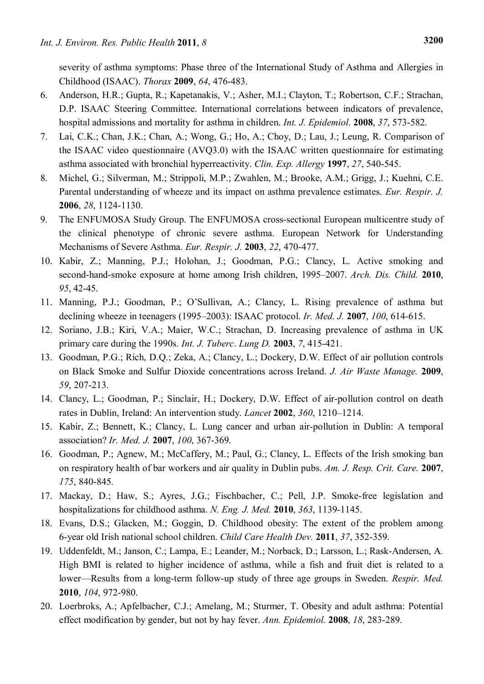severity of asthma symptoms: Phase three of the International Study of Asthma and Allergies in Childhood (ISAAC). *[Thorax](javascript:AL_get(this,%20)* **2009**, *64*, 476-483.

- 6. [Anderson,](http://www.ncbi.nlm.nih.gov.ezp-prod1.hul.harvard.edu/sites/entrez?Db=pubmed&Cmd=Search&Term=%22Anderson%20HR%22%5BAuthor%5D&itool=EntrezSystem2.PEntrez.Pubmed.Pubmed_ResultsPanel.Pubmed_DiscoveryPanel.Pubmed_RVAbstractPlus) H.R.; [Gupta,](http://www.ncbi.nlm.nih.gov.ezp-prod1.hul.harvard.edu/sites/entrez?Db=pubmed&Cmd=Search&Term=%22Gupta%20R%22%5BAuthor%5D&itool=EntrezSystem2.PEntrez.Pubmed.Pubmed_ResultsPanel.Pubmed_DiscoveryPanel.Pubmed_RVAbstractPlus) R.; [Kapetanakis,](http://www.ncbi.nlm.nih.gov.ezp-prod1.hul.harvard.edu/sites/entrez?Db=pubmed&Cmd=Search&Term=%22Kapetanakis%20V%22%5BAuthor%5D&itool=EntrezSystem2.PEntrez.Pubmed.Pubmed_ResultsPanel.Pubmed_DiscoveryPanel.Pubmed_RVAbstractPlus) V.; Asher, M.I.; Clayton, T.; Robertson, C.F.; Strachan, D.P. ISAAC Steering Committee. International correlations between indicators of prevalence, hospital admissions and mortality for asthma in children. *Int. J. [Epidemiol](javascript:AL_get(this,%20)*. **2008**, *37*, 573-582.
- 7. Lai, C.K.; Chan, J.K.; Chan, A.; Wong, G.; Ho, A.; Choy, D.; Lau, J.; Leung, R. [Comparison of](http://www.ncbi.nlm.nih.gov.ezp-prod1.hul.harvard.edu/pubmed/9179428?ordinalpos=10&itool=EntrezSystem2.PEntrez.Pubmed.Pubmed_ResultsPanel.Pubmed_DefaultReportPanel.Pubmed_RVDocSum)  [the ISAAC video questionnaire \(AVQ3.0\) with the ISAAC written questionnaire for estimating](http://www.ncbi.nlm.nih.gov.ezp-prod1.hul.harvard.edu/pubmed/9179428?ordinalpos=10&itool=EntrezSystem2.PEntrez.Pubmed.Pubmed_ResultsPanel.Pubmed_DefaultReportPanel.Pubmed_RVDocSum)  [asthma associated with bronchial hyperreactivity.](http://www.ncbi.nlm.nih.gov.ezp-prod1.hul.harvard.edu/pubmed/9179428?ordinalpos=10&itool=EntrezSystem2.PEntrez.Pubmed.Pubmed_ResultsPanel.Pubmed_DefaultReportPanel.Pubmed_RVDocSum) *Clin. Exp. Allergy* **1997**, *27*, 540-545.
- 8. Michel, G.; Silverman, M.; Strippoli, M.P.; Zwahlen, M.; Brooke, A.M.; Grigg, J.; Kuehni, C.E. [Parental understanding of wheeze and its impact on asthma prevalence estimates.](http://www.ncbi.nlm.nih.gov.ezp-prod1.hul.harvard.edu/pubmed/16870670?ordinalpos=2&itool=EntrezSystem2.PEntrez.Pubmed.Pubmed_ResultsPanel.Pubmed_DefaultReportPanel.Pubmed_RVDocSum) *Eur. Respir. J.* **2006**, *28*, 1124-1130.
- 9. The ENFUMOSA Study Group. [The ENFUMOSA cross-sectional European multicentre study of](http://www.ncbi.nlm.nih.gov.ezp-prod1.hul.harvard.edu/pubmed/14516137?ordinalpos=3&itool=EntrezSystem2.PEntrez.Pubmed.Pubmed_ResultsPanel.Pubmed_DefaultReportPanel.Pubmed_RVDocSum)  [the clinical phenotype of chronic severe asthma. European Network for Understanding](http://www.ncbi.nlm.nih.gov.ezp-prod1.hul.harvard.edu/pubmed/14516137?ordinalpos=3&itool=EntrezSystem2.PEntrez.Pubmed.Pubmed_ResultsPanel.Pubmed_DefaultReportPanel.Pubmed_RVDocSum)  [Mechanisms of Severe Asthma.](http://www.ncbi.nlm.nih.gov.ezp-prod1.hul.harvard.edu/pubmed/14516137?ordinalpos=3&itool=EntrezSystem2.PEntrez.Pubmed.Pubmed_ResultsPanel.Pubmed_DefaultReportPanel.Pubmed_RVDocSum) *Eur. Respir. J.* **2003**, *22*, 470-477.
- 10. Kabir, Z.; Manning, P.J.; Holohan, J.; Goodman, P.G.; Clancy, L. Active smoking and second-hand-smoke exposure at home among Irish children, 1995–2007. *Arch. Dis. Child.* **2010**, *95*, 42-45.
- 11. Manning, P.J.; Goodman, P.; O'Sullivan, A.; Clancy, L. [Rising prevalence of asthma but](http://www.ncbi.nlm.nih.gov.ezp-prod1.hul.harvard.edu/pubmed/18277728?ordinalpos=2&itool=EntrezSystem2.PEntrez.Pubmed.Pubmed_ResultsPanel.Pubmed_DefaultReportPanel.Pubmed_RVDocSum)  [declining wheeze in teenagers \(1995–2003\): ISAAC protocol.](http://www.ncbi.nlm.nih.gov.ezp-prod1.hul.harvard.edu/pubmed/18277728?ordinalpos=2&itool=EntrezSystem2.PEntrez.Pubmed.Pubmed_ResultsPanel.Pubmed_DefaultReportPanel.Pubmed_RVDocSum) *Ir. Med. J.* **2007**, *100*, 614-615.
- 12. Soriano, J.B.; Kiri, V.A.; Maier, W.C.; Strachan, D. Increasing prevalence of asthma in UK primary care during the 1990s. *Int. J. Tuberc*. *Lung D.* **2003**, *7*, 415-421.
- 13. Goodman, P.G.; Rich, D.Q.; Zeka, A.; Clancy, L.; Dockery, D.W. Effect of air pollution controls on Black Smoke and Sulfur Dioxide concentrations across Ireland. *J. Air Waste Manage.* **2009**, *59*, 207-213.
- 14. Clancy, L.; Goodman, P.; Sinclair, H.; Dockery, D.W. Effect of air-pollution control on death rates in Dublin, Ireland: An intervention study. *Lancet* **2002**, *360*, 1210–1214.
- 15. Kabir, Z.; Bennett, K.; Clancy, L. Lung cancer and urban air-pollution in Dublin: A temporal association? *Ir. Med. J.* **2007**, *100*, 367-369.
- 16. Goodman, P.; Agnew, M.; McCaffery, M.; Paul, G.; Clancy, L. Effects of the Irish smoking ban on respiratory health of bar workers and air quality in Dublin pubs. *Am. J. Resp. Crit. Care.* **2007**, *175*, 840-845.
- 17. Mackay, D.; Haw, S.; Ayres, J.G.; Fischbacher, C.; Pell, J.P. Smoke-free legislation and hospitalizations for childhood asthma. *N. Eng. J. Med.* **2010**, *363*, 1139-1145.
- 18. Evans, D.S.; Glacken, M.; Goggin, D. Childhood obesity: The extent of the problem among 6-year old Irish national school children. *Child Care Health Dev.* **2011**, *37*, 352-359.
- 19. Uddenfeldt, M.; Janson, C.; Lampa, E.; Leander, M.; Norback, D.; Larsson, L.; Rask-Andersen, A*.* [High BMI is related to higher incidence of asthma, while a fish and fruit diet is related to a](http://www.ncbi.nlm.nih.gov/pubmed/20171076)  [lower—Results from a long-term follow-up study of three age groups in Sweden.](http://www.ncbi.nlm.nih.gov/pubmed/20171076) *Respir. Med.* **2010**, *104*, 972-980.
- 20. Loerbroks, A.; Apfelbacher, C.J.; Amelang, M.; Sturmer, T. [Obesity and adult asthma: Potential](http://www.ncbi.nlm.nih.gov/pubmed/18083546)  [effect modification by gender, but not by hay fever.](http://www.ncbi.nlm.nih.gov/pubmed/18083546) *Ann. Epidemiol.* **2008**, *18*, 283-289.